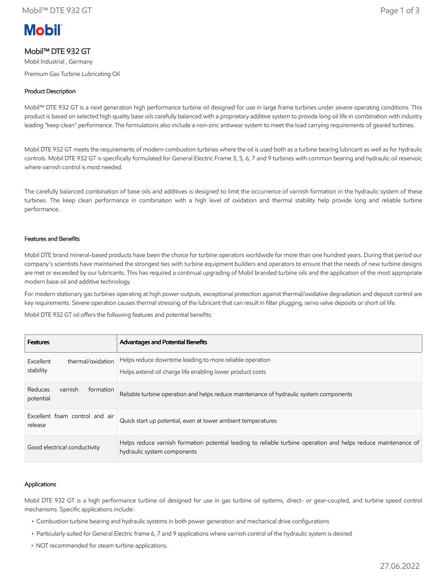

# Mobil™ DTE 932 GT

Mobil Industrial , Germany Premium Gas Turbine Lubricating Oil

# Product Description

Mobil™ DTE 932 GT is a next generation high performance turbine oil designed for use in large frame turbines under severe operating conditions. This product is based on selected high quality base oils carefully balanced with a proprietary additive system to provide long oil life in combination with industry leading "keep clean" performance. The formulations also include a non-zinc antiwear system to meet the load carrying requirements of geared turbines.

Mobil DTE 932 GT meets the requirements of modern combustion turbines where the oil is used both as a turbine bearing lubricant as well as for hydraulic controls. Mobil DTE 932 GT is specifically formulated for General Electric Frame 3, 5, 6, 7 and 9 turbines with common bearing and hydraulic oil reservoir, where varnish control is most needed.

The carefully balanced combination of base oils and additives is designed to limit the occurrence of varnish formation in the hydraulic system of these turbines. The keep clean performance in combination with a high level of oxidation and thermal stability help provide long and reliable turbine performance.

#### Features and Benefits

Mobil DTE brand mineral-based products have been the choice for turbine operators worldwide for more than one hundred years. During that period our company's scientists have maintained the strongest ties with turbine equipment builders and operators to ensure that the needs of new turbine designs are met or exceeded by our lubricants. This has required a continual upgrading of Mobil branded turbine oils and the application of the most appropriate modern base oil and additive technology.

For modern stationary gas turbines operating at high power outputs, exceptional protection against thermal/oxidative degradation and deposit control are key requirements. Severe operation causes thermal stressing of the lubricant that can result in filter plugging, servo valve deposits or short oil life.

Mobil DTE 932 GT oil offers the following features and potential benefits:

| <b>Features</b>                              | Advantages and Potential Benefits                                                                                                             |
|----------------------------------------------|-----------------------------------------------------------------------------------------------------------------------------------------------|
| thermal/oxidation<br>Excellent<br>stability  | Helps reduce downtime leading to more reliable operation<br>Helps extend oil charge life enabling lower product costs                         |
| Reduces<br>varnish<br>formation<br>potential | Reliable turbine operation and helps reduce maintenance of hydraulic system components                                                        |
| Excellent foam control and air<br>release    | Quick start up potential, even at lower ambient temperatures                                                                                  |
| Good electrical conductivity                 | Helps reduce varnish formation potential leading to reliable turbine operation and helps reduce maintenance of<br>hydraulic system components |

#### Applications

Mobil DTE 932 GT is a high performance turbine oil designed for use in gas turbine oil systems, direct- or gear-coupled, and turbine speed control mechanisms. Specific applications include:

- Combustion turbine bearing and hydraulic systems in both power generation and mechanical drive configurations
- Particularly suited for General Electric frame 6, 7 and 9 applications where varnish control of the hydraulic system is desired
- NOT recommended for steam turbine applications.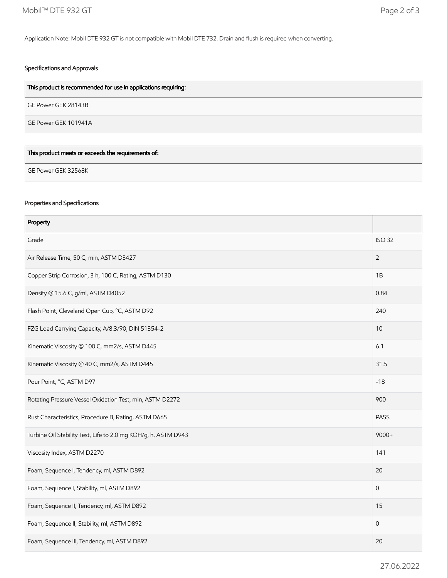Application Note: Mobil DTE 932 GT is not compatible with Mobil DTE 732. Drain and flush is required when converting.

# Specifications and Approvals

| This product is recommended for use in applications requiring: |
|----------------------------------------------------------------|
| GE Power GEK 28143B                                            |
| GE Power GEK 101941A                                           |
|                                                                |
| This product meets or exceeds the requirements of:             |

GE Power GEK 32568K

# Properties and Specifications

| Property                                                       |             |  |
|----------------------------------------------------------------|-------------|--|
| Grade                                                          |             |  |
| Air Release Time, 50 C, min, ASTM D3427                        |             |  |
| Copper Strip Corrosion, 3 h, 100 C, Rating, ASTM D130          |             |  |
| Density @ 15.6 C, g/ml, ASTM D4052                             |             |  |
| Flash Point, Cleveland Open Cup, °C, ASTM D92                  | 240         |  |
| FZG Load Carrying Capacity, A/8.3/90, DIN 51354-2              |             |  |
| Kinematic Viscosity @ 100 C, mm2/s, ASTM D445                  |             |  |
| Kinematic Viscosity @ 40 C, mm2/s, ASTM D445                   | 31.5        |  |
| Pour Point, °C, ASTM D97                                       | $-18$       |  |
| Rotating Pressure Vessel Oxidation Test, min, ASTM D2272       |             |  |
| Rust Characteristics, Procedure B, Rating, ASTM D665           |             |  |
| Turbine Oil Stability Test, Life to 2.0 mg KOH/g, h, ASTM D943 |             |  |
| Viscosity Index, ASTM D2270                                    | 141         |  |
| Foam, Sequence I, Tendency, ml, ASTM D892                      |             |  |
| Foam, Sequence I, Stability, ml, ASTM D892                     |             |  |
| Foam, Sequence II, Tendency, ml, ASTM D892                     | 15          |  |
| Foam, Sequence II, Stability, ml, ASTM D892                    | $\mathbf 0$ |  |
| Foam, Sequence III, Tendency, ml, ASTM D892                    |             |  |